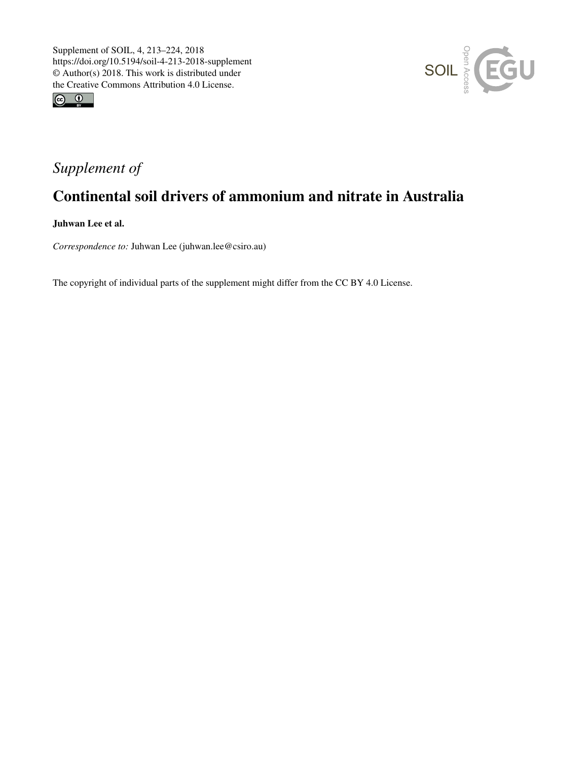



## *Supplement of*

## Continental soil drivers of ammonium and nitrate in Australia

Juhwan Lee et al.

*Correspondence to:* Juhwan Lee (juhwan.lee@csiro.au)

The copyright of individual parts of the supplement might differ from the CC BY 4.0 License.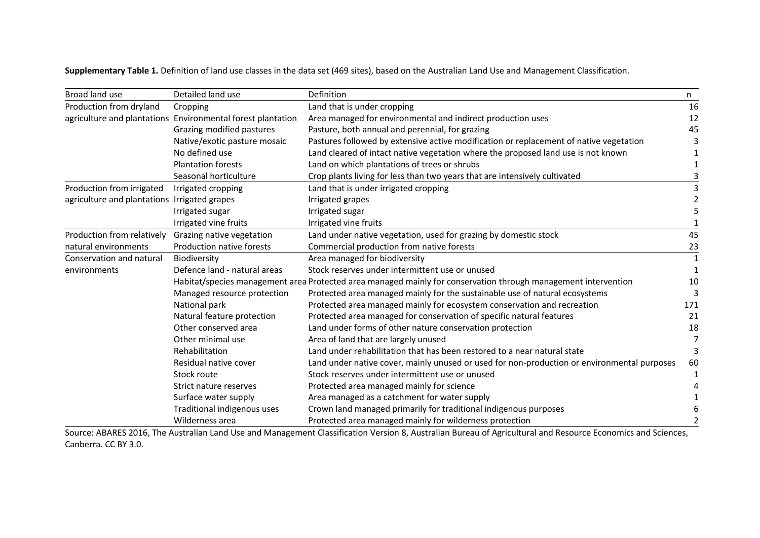**Supplementary Table 1.** Definition of land use classes in the data set (469 sites), based on the Australian Land Use and Management Classification.

| Broad land use                               | Detailed land use                                           | Definition                                                                                                     | n           |
|----------------------------------------------|-------------------------------------------------------------|----------------------------------------------------------------------------------------------------------------|-------------|
| Production from dryland                      | Cropping                                                    | Land that is under cropping                                                                                    | 16          |
|                                              | agriculture and plantations Environmental forest plantation | Area managed for environmental and indirect production uses                                                    | 12          |
|                                              | Grazing modified pastures                                   | Pasture, both annual and perennial, for grazing                                                                | 45          |
|                                              | Native/exotic pasture mosaic                                | Pastures followed by extensive active modification or replacement of native vegetation                         |             |
|                                              | No defined use                                              | Land cleared of intact native vegetation where the proposed land use is not known                              |             |
|                                              | <b>Plantation forests</b>                                   | Land on which plantations of trees or shrubs                                                                   |             |
|                                              | Seasonal horticulture                                       | Crop plants living for less than two years that are intensively cultivated                                     |             |
| Production from irrigated                    | Irrigated cropping                                          | Land that is under irrigated cropping                                                                          |             |
| agriculture and plantations Irrigated grapes |                                                             | Irrigated grapes                                                                                               |             |
|                                              | Irrigated sugar                                             | Irrigated sugar                                                                                                |             |
|                                              | Irrigated vine fruits                                       | Irrigated vine fruits                                                                                          |             |
| Production from relatively                   | Grazing native vegetation                                   | Land under native vegetation, used for grazing by domestic stock                                               | 45          |
| natural environments                         | Production native forests                                   | Commercial production from native forests                                                                      | 23          |
| Conservation and natural                     | Biodiversity                                                | Area managed for biodiversity                                                                                  | $\mathbf 1$ |
| environments                                 | Defence land - natural areas                                | Stock reserves under intermittent use or unused                                                                | -1          |
|                                              |                                                             | Habitat/species management area Protected area managed mainly for conservation through management intervention | 10          |
|                                              | Managed resource protection                                 | Protected area managed mainly for the sustainable use of natural ecosystems                                    |             |
|                                              | National park                                               | Protected area managed mainly for ecosystem conservation and recreation                                        | 171         |
|                                              | Natural feature protection                                  | Protected area managed for conservation of specific natural features                                           | 21          |
|                                              | Other conserved area                                        | Land under forms of other nature conservation protection                                                       | 18          |
|                                              | Other minimal use                                           | Area of land that are largely unused                                                                           | 7           |
|                                              | Rehabilitation                                              | Land under rehabilitation that has been restored to a near natural state                                       | 3           |
|                                              | Residual native cover                                       | Land under native cover, mainly unused or used for non-production or environmental purposes                    | 60          |
|                                              | Stock route                                                 | Stock reserves under intermittent use or unused                                                                | -1          |
|                                              | Strict nature reserves                                      | Protected area managed mainly for science                                                                      |             |
|                                              | Surface water supply                                        | Area managed as a catchment for water supply                                                                   |             |
|                                              | Traditional indigenous uses                                 | Crown land managed primarily for traditional indigenous purposes                                               |             |
|                                              | Wilderness area                                             | Protected area managed mainly for wilderness protection                                                        |             |

Source: ABARES 2016, The Australian Land Use and Management Classification Version 8, Australian Bureau of Agricultural and Resource Economics and Sciences, Canberra. CC BY 3.0.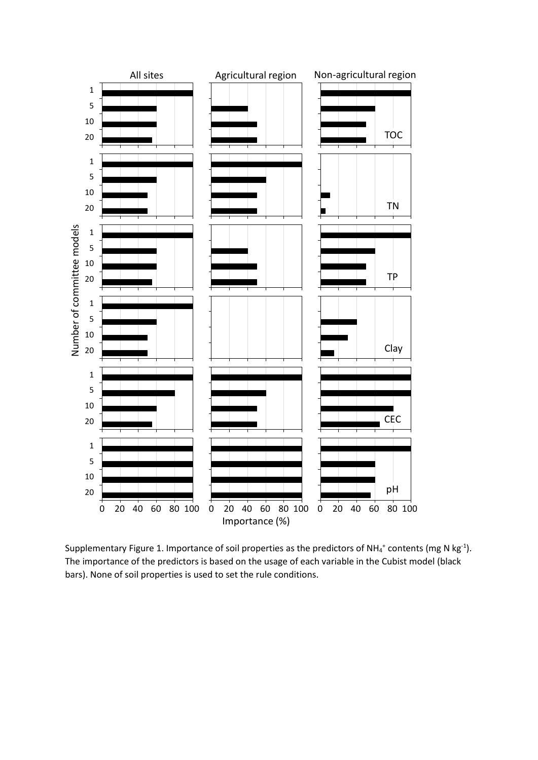

Supplementary Figure 1. Importance of soil properties as the predictors of NH<sub>4</sub><sup>+</sup> contents (mg N kg<sup>-1</sup>). The importance of the predictors is based on the usage of each variable in the Cubist model (black bars). None of soil properties is used to set the rule conditions.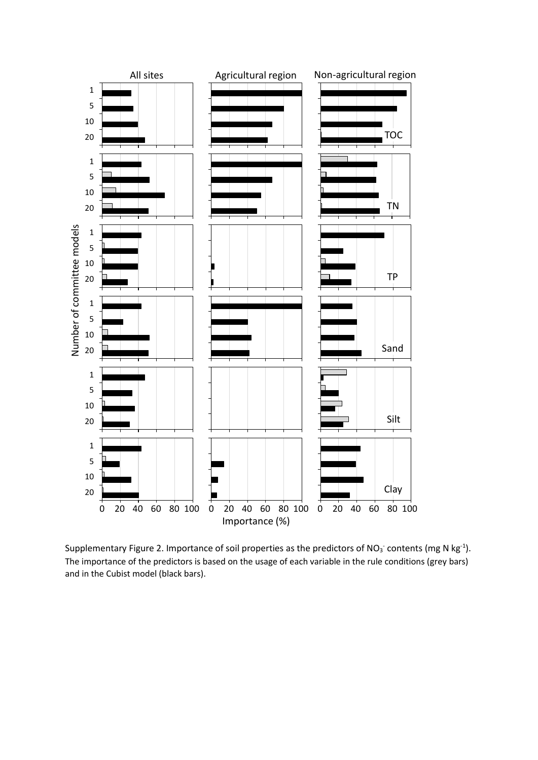

Supplementary Figure 2. Importance of soil properties as the predictors of NO<sub>3</sub> contents (mg N kg<sup>-1</sup>). The importance of the predictors is based on the usage of each variable in the rule conditions (grey bars) and in the Cubist model (black bars).